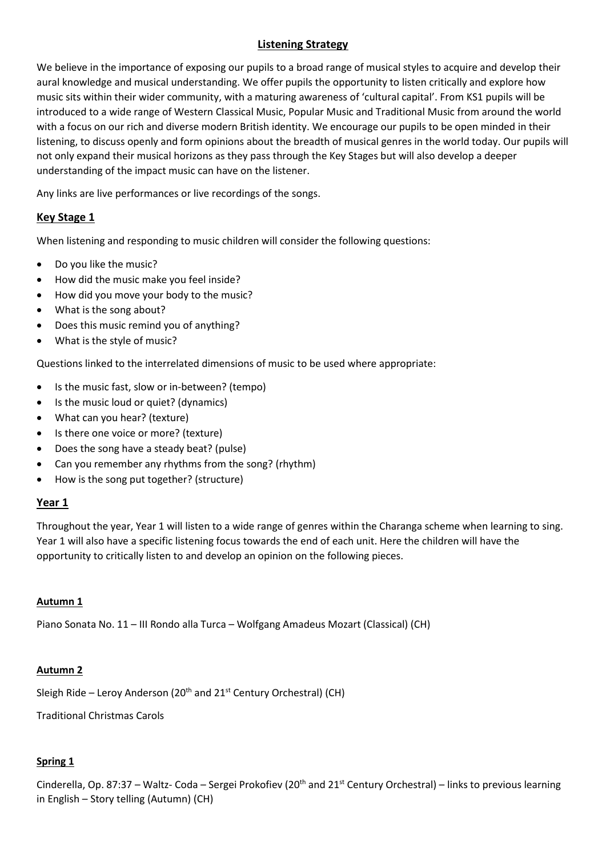# **Listening Strategy**

We believe in the importance of exposing our pupils to a broad range of musical styles to acquire and develop their aural knowledge and musical understanding. We offer pupils the opportunity to listen critically and explore how music sits within their wider community, with a maturing awareness of 'cultural capital'. From KS1 pupils will be introduced to a wide range of Western Classical Music, Popular Music and Traditional Music from around the world with a focus on our rich and diverse modern British identity. We encourage our pupils to be open minded in their listening, to discuss openly and form opinions about the breadth of musical genres in the world today. Our pupils will not only expand their musical horizons as they pass through the Key Stages but will also develop a deeper understanding of the impact music can have on the listener.

Any links are live performances or live recordings of the songs.

# **Key Stage 1**

When listening and responding to music children will consider the following questions:

- Do you like the music?
- How did the music make you feel inside?
- How did you move your body to the music?
- What is the song about?
- Does this music remind you of anything?
- What is the style of music?

Questions linked to the interrelated dimensions of music to be used where appropriate:

- Is the music fast, slow or in-between? (tempo)
- Is the music loud or quiet? (dynamics)
- What can you hear? (texture)
- Is there one voice or more? (texture)
- Does the song have a steady beat? (pulse)
- Can you remember any rhythms from the song? (rhythm)
- How is the song put together? (structure)

# **Year 1**

Throughout the year, Year 1 will listen to a wide range of genres within the Charanga scheme when learning to sing. Year 1 will also have a specific listening focus towards the end of each unit. Here the children will have the opportunity to critically listen to and develop an opinion on the following pieces.

### **Autumn 1**

Piano Sonata No. 11 – III Rondo alla Turca – Wolfgang Amadeus Mozart (Classical) (CH)

# **Autumn 2**

Sleigh Ride – Leroy Anderson (20<sup>th</sup> and 21<sup>st</sup> Century Orchestral) (CH)

Traditional Christmas Carols

# **Spring 1**

Cinderella, Op. 87:37 – Waltz- Coda – Sergei Prokofiev (20<sup>th</sup> and 21<sup>st</sup> Century Orchestral) – links to previous learning in English – Story telling (Autumn) (CH)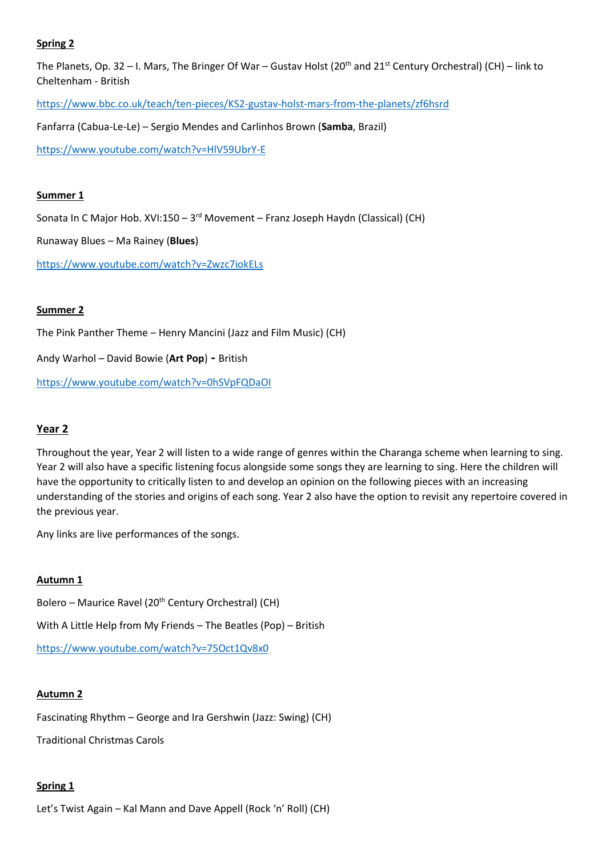# **Spring 2**

The Planets, Op. 32 – I. Mars, The Bringer Of War – Gustav Holst (20<sup>th</sup> and 21<sup>st</sup> Century Orchestral) (CH) – link to Cheltenham - British

<https://www.bbc.co.uk/teach/ten-pieces/KS2-gustav-holst-mars-from-the-planets/zf6hsrd>

Fanfarra (Cabua-Le-Le) – Sergio Mendes and Carlinhos Brown (**Samba**, Brazil)

<https://www.youtube.com/watch?v=HlV59UbrY-E>

## **Summer 1**

Sonata In C Major Hob. XVI:150 - 3<sup>rd</sup> Movement - Franz Joseph Haydn (Classical) (CH)

Runaway Blues – Ma Rainey (**Blues**)

<https://www.youtube.com/watch?v=Zwzc7iokELs>

### **Summer 2**

The Pink Panther Theme – Henry Mancini (Jazz and Film Music) (CH)

Andy Warhol – David Bowie (**Art Pop**) **-** British

<https://www.youtube.com/watch?v=0hSVpFQDaOI>

# **Year 2**

Throughout the year, Year 2 will listen to a wide range of genres within the Charanga scheme when learning to sing. Year 2 will also have a specific listening focus alongside some songs they are learning to sing. Here the children will have the opportunity to critically listen to and develop an opinion on the following pieces with an increasing understanding of the stories and origins of each song. Year 2 also have the option to revisit any repertoire covered in the previous year.

Any links are live performances of the songs.

# **Autumn 1**

Bolero – Maurice Ravel (20<sup>th</sup> Century Orchestral) (CH) With A Little Help from My Friends – The Beatles (Pop) – British <https://www.youtube.com/watch?v=75Oct1Qv8x0>

# **Autumn 2**

Fascinating Rhythm – George and Ira Gershwin (Jazz: Swing) (CH)

Traditional Christmas Carols

# **Spring 1**

Let's Twist Again – Kal Mann and Dave Appell (Rock 'n' Roll) (CH)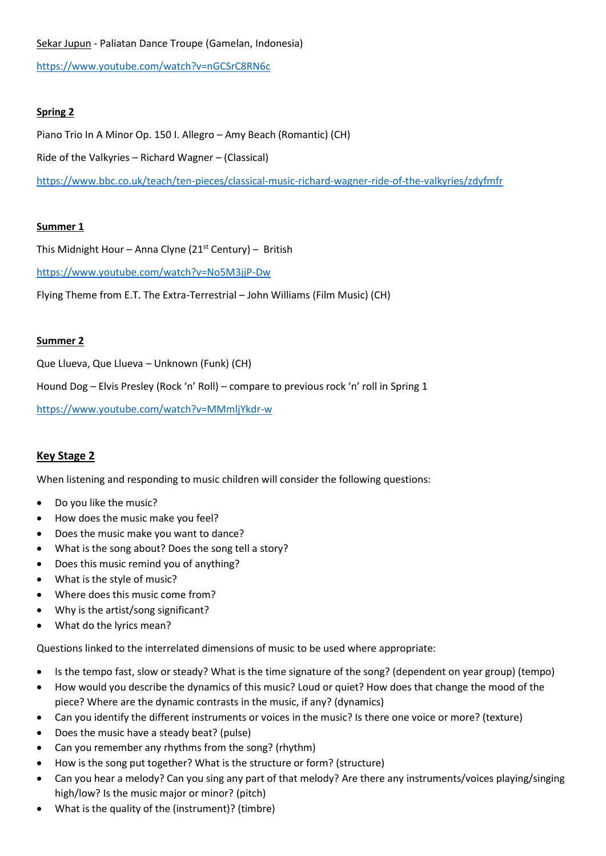### [Sekar Jupun](https://www.youtube.com/watch?v=mPjsGEB-Bbc) - Paliatan Dance Troupe (Gamelan, Indonesia)

<https://www.youtube.com/watch?v=nGCSrC8RN6c>

# **Spring 2**

Piano Trio In A Minor Op. 150 I. Allegro – Amy Beach (Romantic) (CH) Ride of the Valkyries – Richard Wagner – (Classical) <https://www.bbc.co.uk/teach/ten-pieces/classical-music-richard-wagner-ride-of-the-valkyries/zdyfmfr>

### **Summer 1**

This Midnight Hour – Anna Clyne ( $21<sup>st</sup>$  Century) – British

<https://www.youtube.com/watch?v=No5M3jjP-Dw>

Flying Theme from E.T. The Extra-Terrestrial – John Williams (Film Music) (CH)

### **Summer 2**

Que Llueva, Que Llueva – Unknown (Funk) (CH)

Hound Dog – Elvis Presley (Rock 'n' Roll) – compare to previous rock 'n' roll in Spring 1

<https://www.youtube.com/watch?v=MMmljYkdr-w>

# **Key Stage 2**

When listening and responding to music children will consider the following questions:

- Do you like the music?
- How does the music make you feel?
- Does the music make you want to dance?
- What is the song about? Does the song tell a story?
- Does this music remind you of anything?
- What is the style of music?
- Where does this music come from?
- Why is the artist/song significant?
- What do the lyrics mean?

Questions linked to the interrelated dimensions of music to be used where appropriate:

- Is the tempo fast, slow or steady? What is the time signature of the song? (dependent on year group) (tempo)
- How would you describe the dynamics of this music? Loud or quiet? How does that change the mood of the piece? Where are the dynamic contrasts in the music, if any? (dynamics)
- Can you identify the different instruments or voices in the music? Is there one voice or more? (texture)
- Does the music have a steady beat? (pulse)
- Can you remember any rhythms from the song? (rhythm)
- How is the song put together? What is the structure or form? (structure)
- Can you hear a melody? Can you sing any part of that melody? Are there any instruments/voices playing/singing high/low? Is the music major or minor? (pitch)
- What is the quality of the (instrument)? (timbre)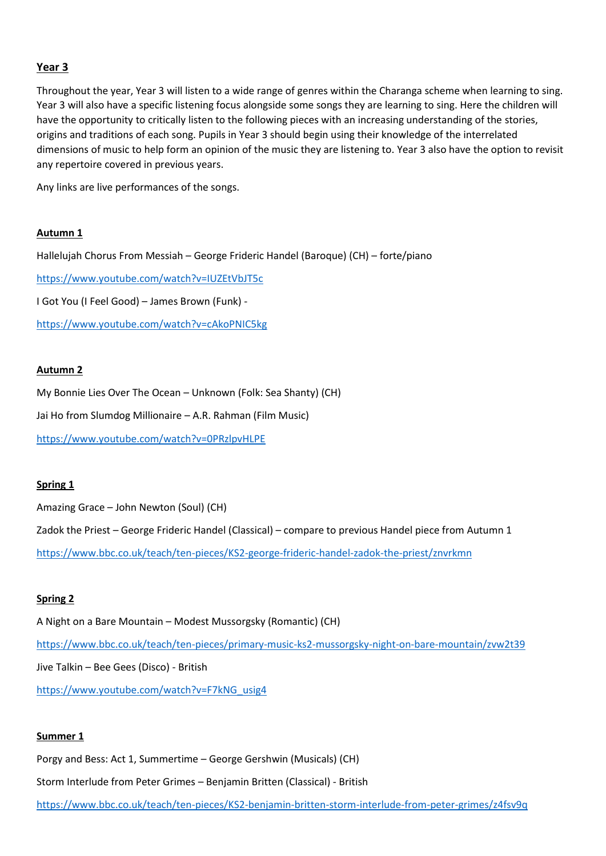### **Year 3**

Throughout the year, Year 3 will listen to a wide range of genres within the Charanga scheme when learning to sing. Year 3 will also have a specific listening focus alongside some songs they are learning to sing. Here the children will have the opportunity to critically listen to the following pieces with an increasing understanding of the stories, origins and traditions of each song. Pupils in Year 3 should begin using their knowledge of the interrelated dimensions of music to help form an opinion of the music they are listening to. Year 3 also have the option to revisit any repertoire covered in previous years.

Any links are live performances of the songs.

### **Autumn 1**

Hallelujah Chorus From Messiah – George Frideric Handel (Baroque) (CH) – forte/piano

<https://www.youtube.com/watch?v=IUZEtVbJT5c>

I Got You (I Feel Good) – James Brown (Funk) -

<https://www.youtube.com/watch?v=cAkoPNIC5kg>

#### **Autumn 2**

My Bonnie Lies Over The Ocean – Unknown (Folk: Sea Shanty) (CH)

Jai Ho from Slumdog Millionaire – A.R. Rahman (Film Music)

<https://www.youtube.com/watch?v=0PRzlpvHLPE>

### **Spring 1**

Amazing Grace – John Newton (Soul) (CH) Zadok the Priest – George Frideric Handel (Classical) – compare to previous Handel piece from Autumn 1 <https://www.bbc.co.uk/teach/ten-pieces/KS2-george-frideric-handel-zadok-the-priest/znvrkmn>

# **Spring 2**

A Night on a Bare Mountain – Modest Mussorgsky (Romantic) (CH) <https://www.bbc.co.uk/teach/ten-pieces/primary-music-ks2-mussorgsky-night-on-bare-mountain/zvw2t39> Jive Talkin – Bee Gees (Disco) - British [https://www.youtube.com/watch?v=F7kNG\\_usig4](https://www.youtube.com/watch?v=F7kNG_usig4)

### **Summer 1**

Porgy and Bess: Act 1, Summertime – George Gershwin (Musicals) (CH)

Storm Interlude from Peter Grimes – Benjamin Britten (Classical) - British

<https://www.bbc.co.uk/teach/ten-pieces/KS2-benjamin-britten-storm-interlude-from-peter-grimes/z4fsv9q>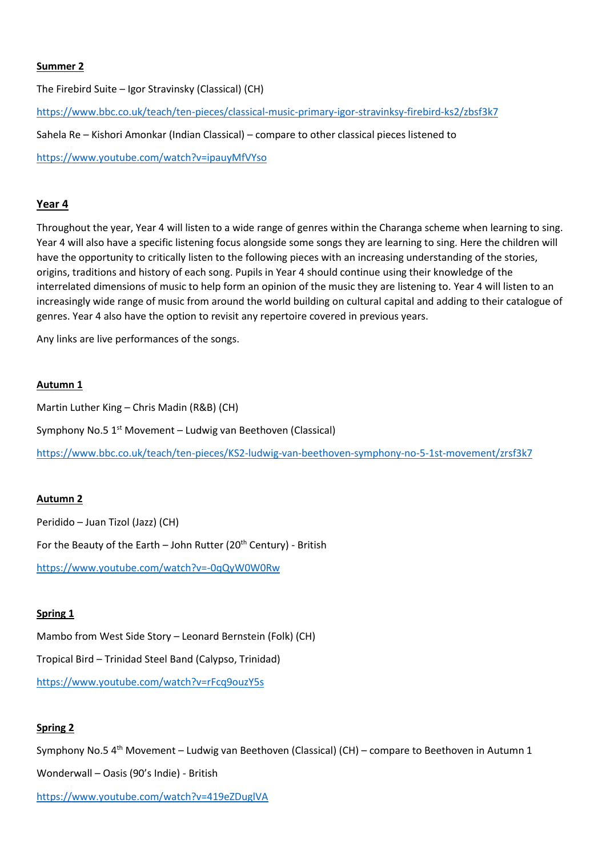### **Summer 2**

The Firebird Suite – Igor Stravinsky (Classical) (CH)

<https://www.bbc.co.uk/teach/ten-pieces/classical-music-primary-igor-stravinksy-firebird-ks2/zbsf3k7>

Sahela Re – Kishori Amonkar (Indian Classical) – compare to other classical pieces listened to

<https://www.youtube.com/watch?v=ipauyMfVYso>

# **Year 4**

Throughout the year, Year 4 will listen to a wide range of genres within the Charanga scheme when learning to sing. Year 4 will also have a specific listening focus alongside some songs they are learning to sing. Here the children will have the opportunity to critically listen to the following pieces with an increasing understanding of the stories, origins, traditions and history of each song. Pupils in Year 4 should continue using their knowledge of the interrelated dimensions of music to help form an opinion of the music they are listening to. Year 4 will listen to an increasingly wide range of music from around the world building on cultural capital and adding to their catalogue of genres. Year 4 also have the option to revisit any repertoire covered in previous years.

Any links are live performances of the songs.

### **Autumn 1**

Martin Luther King – Chris Madin (R&B) (CH)

Symphony No.5 1<sup>st</sup> Movement – Ludwig van Beethoven (Classical)

<https://www.bbc.co.uk/teach/ten-pieces/KS2-ludwig-van-beethoven-symphony-no-5-1st-movement/zrsf3k7>

### **Autumn 2**

Peridido – Juan Tizol (Jazz) (CH) For the Beauty of the Earth - John Rutter (20<sup>th</sup> Century) - British <https://www.youtube.com/watch?v=-0qQyW0W0Rw>

# **Spring 1**

Mambo from West Side Story – Leonard Bernstein (Folk) (CH) Tropical Bird – Trinidad Steel Band (Calypso, Trinidad) <https://www.youtube.com/watch?v=rFcq9ouzY5s>

# **Spring 2**

Symphony No.5 4<sup>th</sup> Movement – Ludwig van Beethoven (Classical) (CH) – compare to Beethoven in Autumn 1

Wonderwall – Oasis (90's Indie) - British

<https://www.youtube.com/watch?v=419eZDuglVA>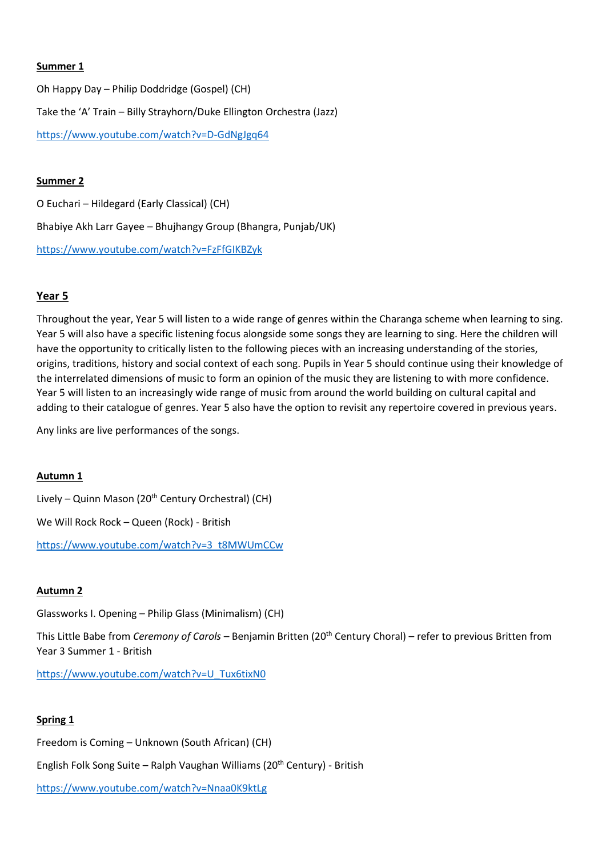### **Summer 1**

Oh Happy Day – Philip Doddridge (Gospel) (CH) Take the 'A' Train – Billy Strayhorn/Duke Ellington Orchestra (Jazz) <https://www.youtube.com/watch?v=D-GdNgJgq64>

### **Summer 2**

O Euchari – Hildegard (Early Classical) (CH) Bhabiye Akh Larr Gayee – Bhujhangy Group (Bhangra, Punjab/UK) <https://www.youtube.com/watch?v=FzFfGIKBZyk>

# **Year 5**

Throughout the year, Year 5 will listen to a wide range of genres within the Charanga scheme when learning to sing. Year 5 will also have a specific listening focus alongside some songs they are learning to sing. Here the children will have the opportunity to critically listen to the following pieces with an increasing understanding of the stories, origins, traditions, history and social context of each song. Pupils in Year 5 should continue using their knowledge of the interrelated dimensions of music to form an opinion of the music they are listening to with more confidence. Year 5 will listen to an increasingly wide range of music from around the world building on cultural capital and adding to their catalogue of genres. Year 5 also have the option to revisit any repertoire covered in previous years.

Any links are live performances of the songs.

### **Autumn 1**

Lively – Quinn Mason (20<sup>th</sup> Century Orchestral) (CH)

We Will Rock Rock – Queen (Rock) - British

[https://www.youtube.com/watch?v=3\\_t8MWUmCCw](https://www.youtube.com/watch?v=3_t8MWUmCCw)

# **Autumn 2**

Glassworks I. Opening – Philip Glass (Minimalism) (CH)

This Little Babe from *Ceremony of Carols* – Benjamin Britten (20th Century Choral) – refer to previous Britten from Year 3 Summer 1 - British

[https://www.youtube.com/watch?v=U\\_Tux6tixN0](https://www.youtube.com/watch?v=U_Tux6tixN0)

# **Spring 1**

Freedom is Coming – Unknown (South African) (CH) English Folk Song Suite – Ralph Vaughan Williams (20<sup>th</sup> Century) - British <https://www.youtube.com/watch?v=Nnaa0K9ktLg>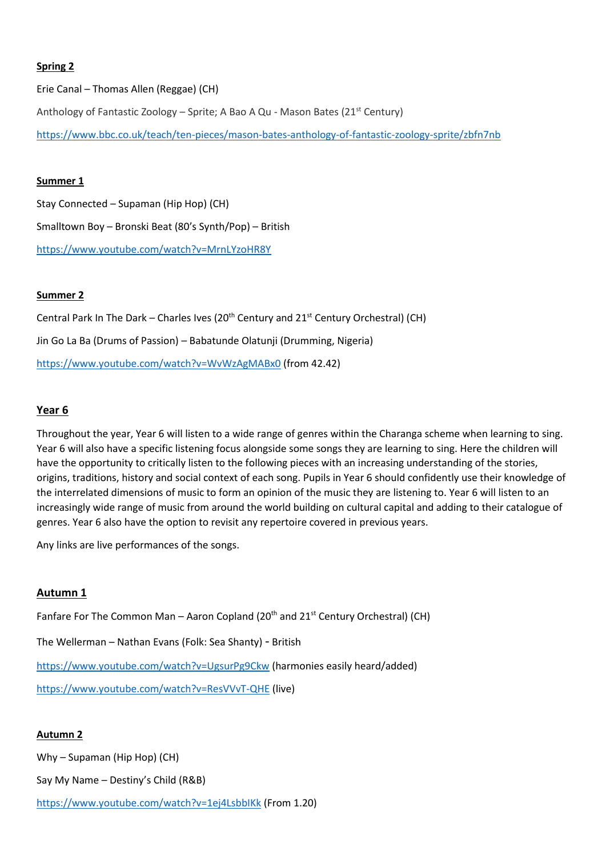### **Spring 2**

Erie Canal – Thomas Allen (Reggae) (CH) Anthology of Fantastic Zoology – Sprite; A Bao A Qu - Mason Bates (21<sup>st</sup> Century) <https://www.bbc.co.uk/teach/ten-pieces/mason-bates-anthology-of-fantastic-zoology-sprite/zbfn7nb>

### **Summer 1**

Stay Connected – Supaman (Hip Hop) (CH) Smalltown Boy – Bronski Beat (80's Synth/Pop) – British <https://www.youtube.com/watch?v=MrnLYzoHR8Y>

### **Summer 2**

Central Park In The Dark – Charles Ives (20<sup>th</sup> Century and 21<sup>st</sup> Century Orchestral) (CH) Jin Go La Ba (Drums of Passion) – Babatunde Olatunji (Drumming, Nigeria) <https://www.youtube.com/watch?v=WvWzAgMABx0> (from 42.42)

### **Year 6**

Throughout the year, Year 6 will listen to a wide range of genres within the Charanga scheme when learning to sing. Year 6 will also have a specific listening focus alongside some songs they are learning to sing. Here the children will have the opportunity to critically listen to the following pieces with an increasing understanding of the stories, origins, traditions, history and social context of each song. Pupils in Year 6 should confidently use their knowledge of the interrelated dimensions of music to form an opinion of the music they are listening to. Year 6 will listen to an increasingly wide range of music from around the world building on cultural capital and adding to their catalogue of genres. Year 6 also have the option to revisit any repertoire covered in previous years.

Any links are live performances of the songs.

# **Autumn 1**

Fanfare For The Common Man – Aaron Copland (20<sup>th</sup> and 21<sup>st</sup> Century Orchestral) (CH)

The Wellerman – Nathan Evans (Folk: Sea Shanty) - British

<https://www.youtube.com/watch?v=UgsurPg9Ckw> (harmonies easily heard/added)

<https://www.youtube.com/watch?v=ResVVvT-QHE> (live)

### **Autumn 2**

Why – Supaman (Hip Hop) (CH)

Say My Name – Destiny's Child (R&B)

<https://www.youtube.com/watch?v=1ej4LsbbIKk> (From 1.20)